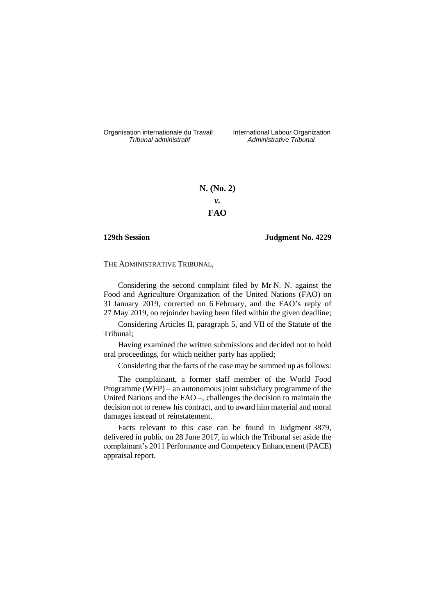Organisation internationale du Travail liternational Labour Organization<br> *Tribunal administratif Administrative Tribunal* 

*Tribunal administratif Administrative Tribunal*

**N. (No. 2)** *v.* **FAO**

## **129th Session Judgment No. 4229**

THE ADMINISTRATIVE TRIBUNAL,

Considering the second complaint filed by Mr N. N. against the Food and Agriculture Organization of the United Nations (FAO) on 31 January 2019, corrected on 6 February, and the FAO's reply of 27 May 2019, no rejoinder having been filed within the given deadline;

Considering Articles II, paragraph 5, and VII of the Statute of the Tribunal;

Having examined the written submissions and decided not to hold oral proceedings, for which neither party has applied;

Considering that the facts of the case may be summed up as follows:

The complainant, a former staff member of the World Food Programme (WFP) – an autonomous joint subsidiary programme of the United Nations and the FAO –, challenges the decision to maintain the decision not to renew his contract, and to award him material and moral damages instead of reinstatement.

Facts relevant to this case can be found in Judgment 3879, delivered in public on 28 June 2017, in which the Tribunal set aside the complainant's 2011 Performance and Competency Enhancement (PACE) appraisal report.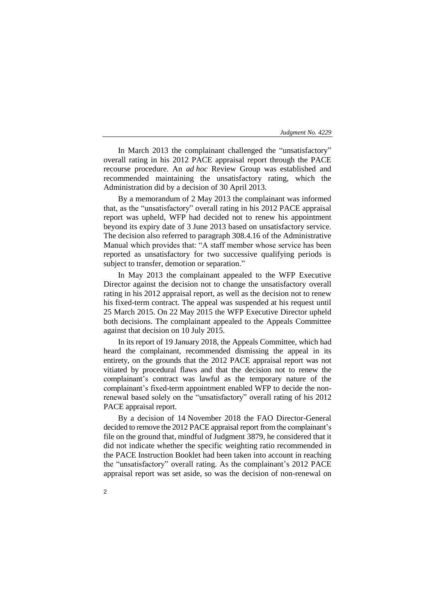In March 2013 the complainant challenged the "unsatisfactory" overall rating in his 2012 PACE appraisal report through the PACE recourse procedure. An *ad hoc* Review Group was established and recommended maintaining the unsatisfactory rating, which the Administration did by a decision of 30 April 2013.

By a memorandum of 2 May 2013 the complainant was informed that, as the "unsatisfactory" overall rating in his 2012 PACE appraisal report was upheld, WFP had decided not to renew his appointment beyond its expiry date of 3 June 2013 based on unsatisfactory service. The decision also referred to paragraph 308.4.16 of the Administrative Manual which provides that: "A staff member whose service has been reported as unsatisfactory for two successive qualifying periods is subject to transfer, demotion or separation."

In May 2013 the complainant appealed to the WFP Executive Director against the decision not to change the unsatisfactory overall rating in his 2012 appraisal report, as well as the decision not to renew his fixed-term contract. The appeal was suspended at his request until 25 March 2015. On 22 May 2015 the WFP Executive Director upheld both decisions. The complainant appealed to the Appeals Committee against that decision on 10 July 2015.

In its report of 19 January 2018, the Appeals Committee, which had heard the complainant, recommended dismissing the appeal in its entirety, on the grounds that the 2012 PACE appraisal report was not vitiated by procedural flaws and that the decision not to renew the complainant's contract was lawful as the temporary nature of the complainant's fixed-term appointment enabled WFP to decide the nonrenewal based solely on the "unsatisfactory" overall rating of his 2012 PACE appraisal report.

By a decision of 14 November 2018 the FAO Director-General decided to remove the 2012 PACE appraisal report from the complainant's file on the ground that, mindful of Judgment 3879, he considered that it did not indicate whether the specific weighting ratio recommended in the PACE Instruction Booklet had been taken into account in reaching the "unsatisfactory" overall rating. As the complainant's 2012 PACE appraisal report was set aside, so was the decision of non-renewal on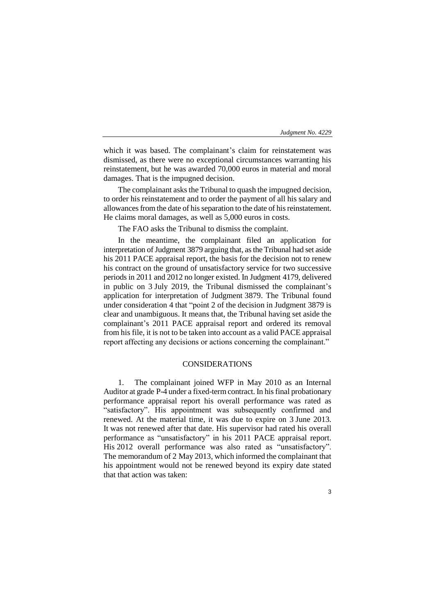which it was based. The complainant's claim for reinstatement was dismissed, as there were no exceptional circumstances warranting his reinstatement, but he was awarded 70,000 euros in material and moral damages. That is the impugned decision.

The complainant asks the Tribunal to quash the impugned decision, to order his reinstatement and to order the payment of all his salary and allowances from the date of his separation to the date of his reinstatement. He claims moral damages, as well as 5,000 euros in costs.

The FAO asks the Tribunal to dismiss the complaint.

In the meantime, the complainant filed an application for interpretation of Judgment 3879 arguing that, as the Tribunal had set aside his 2011 PACE appraisal report, the basis for the decision not to renew his contract on the ground of unsatisfactory service for two successive periods in 2011 and 2012 no longer existed. In Judgment 4179, delivered in public on 3 July 2019, the Tribunal dismissed the complainant's application for interpretation of Judgment 3879. The Tribunal found under consideration 4 that "point 2 of the decision in Judgment 3879 is clear and unambiguous. It means that, the Tribunal having set aside the complainant's 2011 PACE appraisal report and ordered its removal from his file, it is not to be taken into account as a valid PACE appraisal report affecting any decisions or actions concerning the complainant."

## CONSIDERATIONS

1. The complainant joined WFP in May 2010 as an Internal Auditor at grade P-4 under a fixed-term contract. In his final probationary performance appraisal report his overall performance was rated as "satisfactory". His appointment was subsequently confirmed and renewed. At the material time, it was due to expire on 3 June 2013. It was not renewed after that date. His supervisor had rated his overall performance as "unsatisfactory" in his 2011 PACE appraisal report. His 2012 overall performance was also rated as "unsatisfactory". The memorandum of 2 May 2013, which informed the complainant that his appointment would not be renewed beyond its expiry date stated that that action was taken: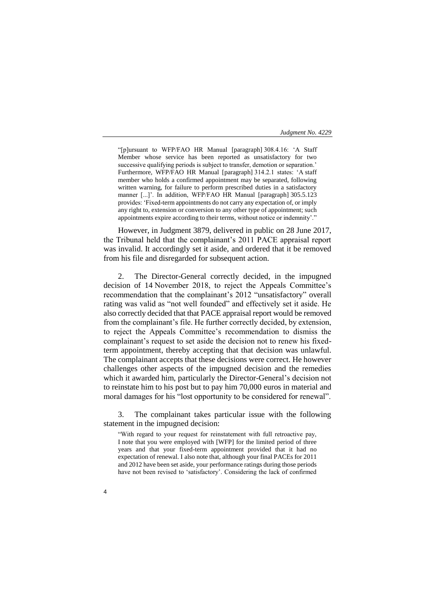"[p]ursuant to WFP/FAO HR Manual [paragraph] 308.4.16: 'A Staff Member whose service has been reported as unsatisfactory for two successive qualifying periods is subject to transfer, demotion or separation.' Furthermore, WFP/FAO HR Manual [paragraph] 314.2.1 states: 'A staff member who holds a confirmed appointment may be separated, following written warning, for failure to perform prescribed duties in a satisfactory manner [...]'. In addition, WFP/FAO HR Manual [paragraph] 305.5.123 provides: 'Fixed-term appointments do not carry any expectation of, or imply any right to, extension or conversion to any other type of appointment; such appointments expire according to their terms, without notice or indemnity'."

However, in Judgment 3879, delivered in public on 28 June 2017, the Tribunal held that the complainant's 2011 PACE appraisal report was invalid. It accordingly set it aside, and ordered that it be removed from his file and disregarded for subsequent action.

2. The Director-General correctly decided, in the impugned decision of 14 November 2018, to reject the Appeals Committee's recommendation that the complainant's 2012 "unsatisfactory" overall rating was valid as "not well founded" and effectively set it aside. He also correctly decided that that PACE appraisal report would be removed from the complainant's file. He further correctly decided, by extension, to reject the Appeals Committee's recommendation to dismiss the complainant's request to set aside the decision not to renew his fixedterm appointment, thereby accepting that that decision was unlawful. The complainant accepts that these decisions were correct. He however challenges other aspects of the impugned decision and the remedies which it awarded him, particularly the Director-General's decision not to reinstate him to his post but to pay him 70,000 euros in material and moral damages for his "lost opportunity to be considered for renewal".

3. The complainant takes particular issue with the following statement in the impugned decision:

"With regard to your request for reinstatement with full retroactive pay, I note that you were employed with [WFP] for the limited period of three years and that your fixed-term appointment provided that it had no expectation of renewal. I also note that, although your final PACEs for 2011 and 2012 have been set aside, your performance ratings during those periods have not been revised to 'satisfactory'. Considering the lack of confirmed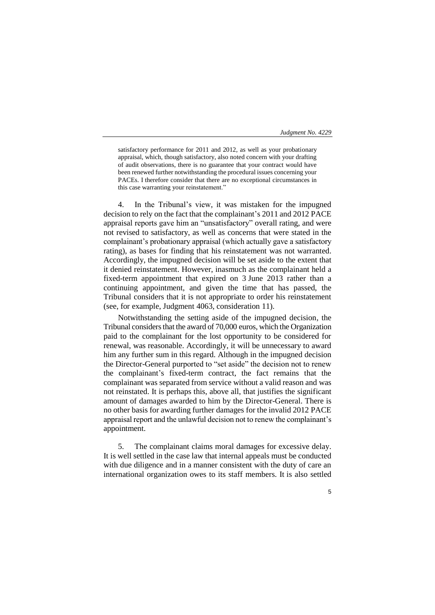5

satisfactory performance for 2011 and 2012, as well as your probationary appraisal, which, though satisfactory, also noted concern with your drafting of audit observations, there is no guarantee that your contract would have been renewed further notwithstanding the procedural issues concerning your PACEs. I therefore consider that there are no exceptional circumstances in this case warranting your reinstatement."

4. In the Tribunal's view, it was mistaken for the impugned decision to rely on the fact that the complainant's 2011 and 2012 PACE appraisal reports gave him an "unsatisfactory" overall rating, and were not revised to satisfactory, as well as concerns that were stated in the complainant's probationary appraisal (which actually gave a satisfactory rating), as bases for finding that his reinstatement was not warranted. Accordingly, the impugned decision will be set aside to the extent that it denied reinstatement. However, inasmuch as the complainant held a fixed-term appointment that expired on 3 June 2013 rather than a continuing appointment, and given the time that has passed, the Tribunal considers that it is not appropriate to order his reinstatement (see, for example, Judgment 4063, consideration 11).

Notwithstanding the setting aside of the impugned decision, the Tribunal considers that the award of 70,000 euros, which the Organization paid to the complainant for the lost opportunity to be considered for renewal, was reasonable. Accordingly, it will be unnecessary to award him any further sum in this regard. Although in the impugned decision the Director-General purported to "set aside" the decision not to renew the complainant's fixed-term contract, the fact remains that the complainant was separated from service without a valid reason and was not reinstated. It is perhaps this, above all, that justifies the significant amount of damages awarded to him by the Director-General. There is no other basis for awarding further damages for the invalid 2012 PACE appraisal report and the unlawful decision not to renew the complainant's appointment.

5. The complainant claims moral damages for excessive delay. It is well settled in the case law that internal appeals must be conducted with due diligence and in a manner consistent with the duty of care an international organization owes to its staff members. It is also settled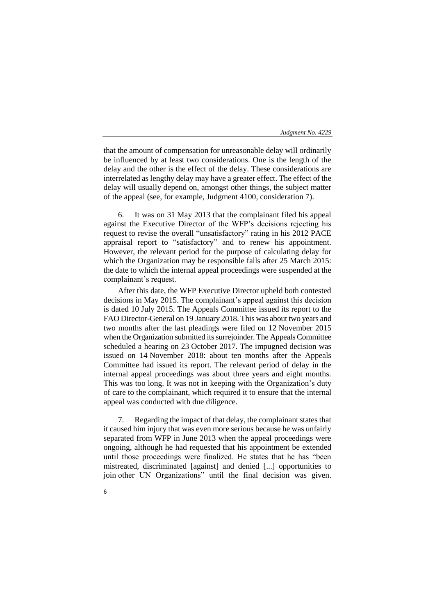that the amount of compensation for unreasonable delay will ordinarily be influenced by at least two considerations. One is the length of the delay and the other is the effect of the delay. These considerations are interrelated as lengthy delay may have a greater effect. The effect of the delay will usually depend on, amongst other things, the subject matter of the appeal (see, for example, Judgment 4100, consideration 7).

6. It was on 31 May 2013 that the complainant filed his appeal against the Executive Director of the WFP's decisions rejecting his request to revise the overall "unsatisfactory" rating in his 2012 PACE appraisal report to "satisfactory" and to renew his appointment. However, the relevant period for the purpose of calculating delay for which the Organization may be responsible falls after 25 March 2015: the date to which the internal appeal proceedings were suspended at the complainant's request.

After this date, the WFP Executive Director upheld both contested decisions in May 2015. The complainant's appeal against this decision is dated 10 July 2015. The Appeals Committee issued its report to the FAO Director-General on 19 January 2018. This was about two years and two months after the last pleadings were filed on 12 November 2015 when the Organization submitted its surrejoinder. The Appeals Committee scheduled a hearing on 23 October 2017. The impugned decision was issued on 14 November 2018: about ten months after the Appeals Committee had issued its report. The relevant period of delay in the internal appeal proceedings was about three years and eight months. This was too long. It was not in keeping with the Organization's duty of care to the complainant, which required it to ensure that the internal appeal was conducted with due diligence.

7. Regarding the impact of that delay, the complainant states that it caused him injury that was even more serious because he was unfairly separated from WFP in June 2013 when the appeal proceedings were ongoing, although he had requested that his appointment be extended until those proceedings were finalized. He states that he has "been mistreated, discriminated [against] and denied [...] opportunities to join other UN Organizations" until the final decision was given.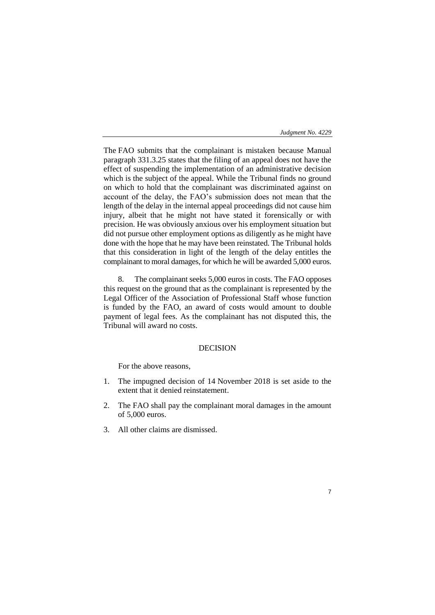7

The FAO submits that the complainant is mistaken because Manual paragraph 331.3.25 states that the filing of an appeal does not have the effect of suspending the implementation of an administrative decision which is the subject of the appeal. While the Tribunal finds no ground on which to hold that the complainant was discriminated against on account of the delay, the FAO's submission does not mean that the length of the delay in the internal appeal proceedings did not cause him injury, albeit that he might not have stated it forensically or with precision. He was obviously anxious over his employment situation but did not pursue other employment options as diligently as he might have done with the hope that he may have been reinstated. The Tribunal holds that this consideration in light of the length of the delay entitles the complainant to moral damages, for which he will be awarded 5,000 euros.

8. The complainant seeks 5,000 euros in costs. The FAO opposes this request on the ground that as the complainant is represented by the Legal Officer of the Association of Professional Staff whose function is funded by the FAO, an award of costs would amount to double payment of legal fees. As the complainant has not disputed this, the Tribunal will award no costs.

# DECISION

For the above reasons,

- 1. The impugned decision of 14 November 2018 is set aside to the extent that it denied reinstatement.
- 2. The FAO shall pay the complainant moral damages in the amount of 5,000 euros.
- 3. All other claims are dismissed.